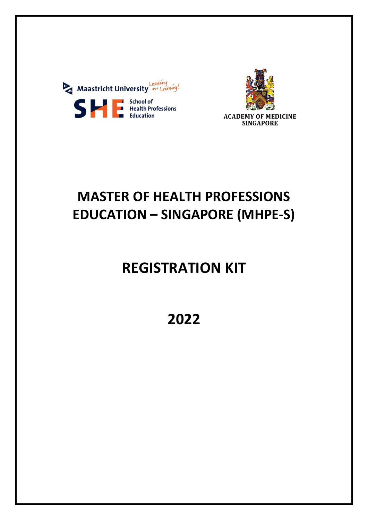



# **MASTER OF HEALTH PROFESSIONS EDUCATION – SINGAPORE (MHPE-S)**

# **REGISTRATION KIT**

**2022**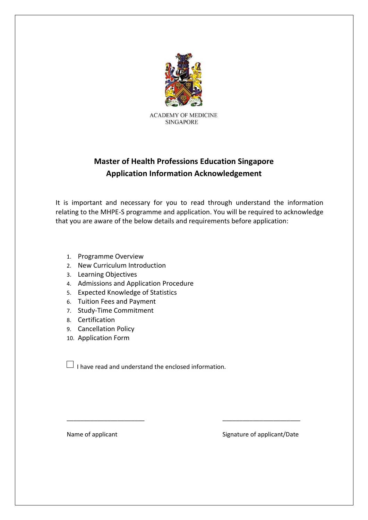

**ACADEMY OF MEDICINE SINGAPORE** 

## **Master of Health Professions Education Singapore Application Information Acknowledgement**

It is important and necessary for you to read through understand the information relating to the MHPE-S programme and application. You will be required to acknowledge that you are aware of the below details and requirements before application:

- 1. Programme Overview
- 2. New Curriculum Introduction
- 3. Learning Objectives
- 4. Admissions and Application Procedure
- 5. Expected Knowledge of Statistics
- 6. Tuition Fees and Payment
- 7. Study-Time Commitment
- 8. Certification
- 9. Cancellation Policy
- 10. Application Form

 $\Box$  I have read and understand the enclosed information.

\_\_\_\_\_\_\_\_\_\_\_\_\_\_\_\_\_\_\_\_\_\_\_ \_\_\_\_\_\_\_\_\_\_\_\_\_\_\_\_\_\_\_\_\_\_\_

Name of applicant Name of applicant Signature of applicant/Date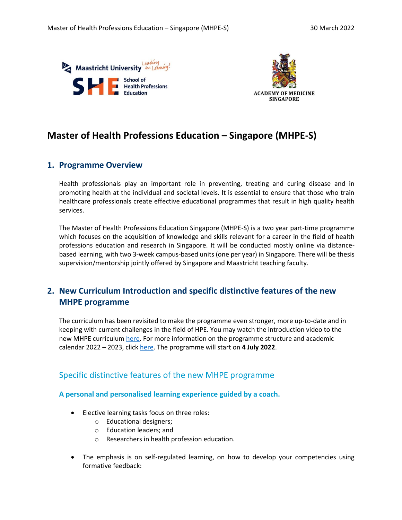



## **Master of Health Professions Education – Singapore (MHPE-S)**

### **1. Programme Overview**

Health professionals play an important role in preventing, treating and curing disease and in promoting health at the individual and societal levels. It is essential to ensure that those who train healthcare professionals create effective educational programmes that result in high quality health services.

The Master of Health Professions Education Singapore (MHPE-S) is a two year part-time programme which focuses on the acquisition of knowledge and skills relevant for a career in the field of health professions education and research in Singapore. It will be conducted mostly online via distancebased learning, with two 3-week campus-based units (one per year) in Singapore. There will be thesis supervision/mentorship jointly offered by Singapore and Maastricht teaching faculty.

## **2. New Curriculum Introduction and specific distinctive features of the new MHPE programme**

The curriculum has been revisited to make the programme even stronger, more up-to-date and in keeping with current challenges in the field of HPE. You may watch the introduction video to the new MHPE curriculum [here.](https://maastrichtuniversity.bbvms.com/view/default_videoteam/4099991.html) For more information on the programme structure and academic calendar 2022 – 2023, click [here.](https://she.mumc.maastrichtuniversity.nl/mhpe-programme-structure-and-academic-calendar-2022-2023) The programme will start on **4 July 2022**.

## Specific distinctive features of the new MHPE programme

#### **A personal and personalised learning experience guided by a coach.**

- Elective learning tasks focus on three roles:
	- o Educational designers;
	- o Education leaders; and
	- o Researchers in health profession education.
- The emphasis is on self-regulated learning, on how to develop your competencies using formative feedback: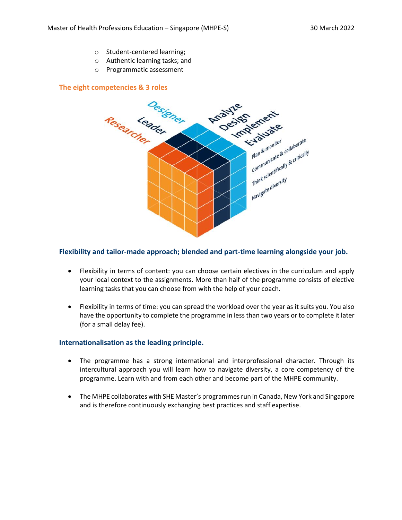- o Student-centered learning;
- o Authentic learning tasks; and
- o Programmatic assessment

#### **The eight competencies & 3 roles**



#### **Flexibility and tailor-made approach; blended and part-time learning alongside your job.**

- Flexibility in terms of content: you can choose certain electives in the curriculum and apply your local context to the assignments. More than half of the programme consists of elective learning tasks that you can choose from with the help of your coach.
- Flexibility in terms of time: you can spread the workload over the year as it suits you. You also have the opportunity to complete the programme in less than two years or to complete it later (for a small delay fee).

#### **Internationalisation as the leading principle.**

- The programme has a strong international and interprofessional character. Through its intercultural approach you will learn how to navigate diversity, a core competency of the programme. Learn with and from each other and become part of the MHPE community.
- The MHPE collaborates with SHE Master's programmes run in Canada, New York and Singapore and is therefore continuously exchanging best practices and staff expertise.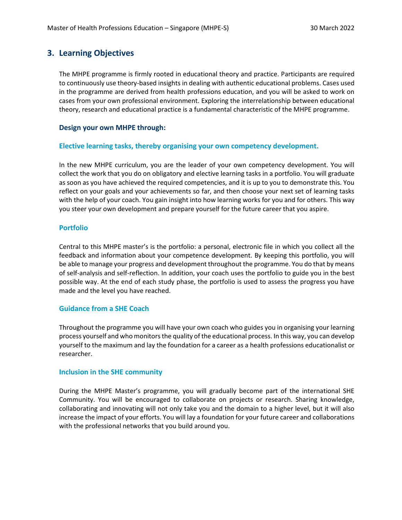## **3. Learning Objectives**

The MHPE programme is firmly rooted in educational theory and practice. Participants are required to continuously use theory-based insights in dealing with authentic educational problems. Cases used in the programme are derived from health professions education, and you will be asked to work on cases from your own professional environment. Exploring the interrelationship between educational theory, research and educational practice is a fundamental characteristic of the MHPE programme.

#### **Design your own MHPE through:**

#### **Elective learning tasks, thereby organising your own competency development.**

In the new MHPE curriculum, you are the leader of your own competency development. You will collect the work that you do on obligatory and elective learning tasks in a portfolio. You will graduate as soon as you have achieved the required competencies, and it is up to you to demonstrate this. You reflect on your goals and your achievements so far, and then choose your next set of learning tasks with the help of your coach. You gain insight into how learning works for you and for others. This way you steer your own development and prepare yourself for the future career that you aspire.

#### **Portfolio**

Central to this MHPE master's is the portfolio: a personal, electronic file in which you collect all the feedback and information about your competence development. By keeping this portfolio, you will be able to manage your progress and development throughout the programme. You do that by means of self-analysis and self-reflection. In addition, your coach uses the portfolio to guide you in the best possible way. At the end of each study phase, the portfolio is used to assess the progress you have made and the level you have reached.

#### **Guidance from a SHE Coach**

Throughout the programme you will have your own coach who guides you in organising your learning process yourself and who monitors the quality of the educational process. In this way, you can develop yourself to the maximum and lay the foundation for a career as a health professions educationalist or researcher.

#### **Inclusion in the SHE community**

During the MHPE Master's programme, you will gradually become part of the international SHE Community. You will be encouraged to collaborate on projects or research. Sharing knowledge, collaborating and innovating will not only take you and the domain to a higher level, but it will also increase the impact of your efforts. You will lay a foundation for your future career and collaborations with the professional networks that you build around you.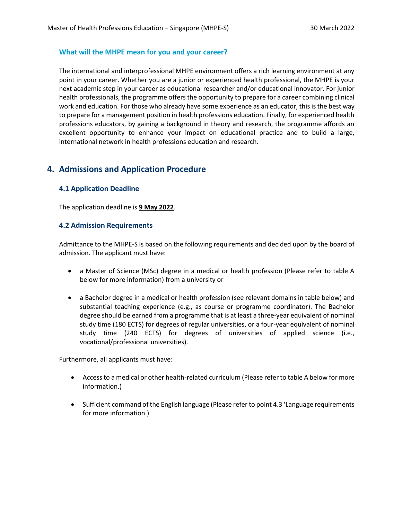#### **What will the MHPE mean for you and your career?**

The international and interprofessional MHPE environment offers a rich learning environment at any point in your career. Whether you are a junior or experienced health professional, the MHPE is your next academic step in your career as educational researcher and/or educational innovator. For junior health professionals, the programme offers the opportunity to prepare for a career combining clinical work and education. For those who already have some experience as an educator, this is the best way to prepare for a management position in health professions education. Finally, for experienced health professions educators, by gaining a background in theory and research, the programme affords an excellent opportunity to enhance your impact on educational practice and to build a large, international network in health professions education and research.

### **4. Admissions and Application Procedure**

#### **4.1 Application Deadline**

The application deadline is **9 May 2022**.

#### **4.2 Admission Requirements**

Admittance to the MHPE-S is based on the following requirements and decided upon by the board of admission. The applicant must have:

- a Master of Science (MSc) degree in a medical or health profession (Please refer to table A below for more information) from a university or
- a Bachelor degree in a medical or health profession (see relevant domains in table below) and substantial teaching experience (e.g., as course or programme coordinator). The Bachelor degree should be earned from a programme that is at least a three-year equivalent of nominal study time (180 ECTS) for degrees of regular universities, or a four-year equivalent of nominal study time (240 ECTS) for degrees of universities of applied science (i.e., vocational/professional universities).

Furthermore, all applicants must have:

- Access to a medical or other health-related curriculum (Please refer to table A below for more information.)
- Sufficient command of the English language (Please refer to point 4.3 'Language requirements for more information.)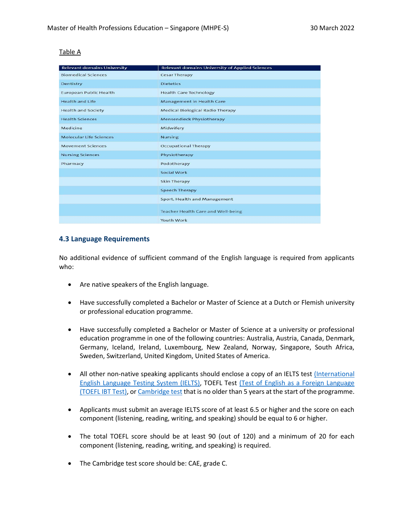#### Table A

| <b>Relevant domains University</b> | <b>Relevant domains University of Applied Sciences</b> |
|------------------------------------|--------------------------------------------------------|
| <b>Biomedical Sciences</b>         | <b>Cesar Therapy</b>                                   |
| Dentistry                          | <b>Dietetics</b>                                       |
| <b>European Public Health</b>      | <b>Health Care Technology</b>                          |
| <b>Health and Life</b>             | <b>Management in Health Care</b>                       |
| <b>Health and Society</b>          | <b>Medical Biological Radio Therapy</b>                |
| <b>Health Sciences</b>             | Mensendieck Physiotherapy                              |
| Medicine                           | Midwifery                                              |
| <b>Molecular Life Sciences</b>     | <b>Nursing</b>                                         |
| <b>Movement Sciences</b>           | <b>Occupational Therapy</b>                            |
| <b>Nursing Sciences</b>            | Physiotherapy                                          |
| Pharmacy                           | Podotherapy                                            |
|                                    | Social Work                                            |
|                                    | <b>Skin Therapy</b>                                    |
|                                    | <b>Speech Therapy</b>                                  |
|                                    | Sport, Health and Management                           |
|                                    | Teacher Health Care and Well-being                     |
|                                    | Youth Work                                             |

#### **4.3 Language Requirements**

No additional evidence of sufficient command of the English language is required from applicants who:

- Are native speakers of the English language.
- Have successfully completed a Bachelor or Master of Science at a Dutch or Flemish university or professional education programme.
- Have successfully completed a Bachelor or Master of Science at a university or professional education programme in one of the following countries: Australia, Austria, Canada, Denmark, Germany, Iceland, Ireland, Luxembourg, New Zealand, Norway, Singapore, South Africa, Sweden, Switzerland, United Kingdom, United States of America.
- All other non-native speaking applicants should enclose a copy of an IELTS test (International [English Language Testing System \(IELTS\),](https://www.ielts.org/) TOEFL Test [\(Test of English as a Foreign Language](http://www.ets.org/toefl)  [\(TOEFL IBT Test\),](http://www.ets.org/toefl) or [Cambridge test](https://www.cambridgeenglish.org/) that is no older than 5 years at the start of the programme.
- Applicants must submit an average IELTS score of at least 6.5 or higher and the score on each component (listening, reading, writing, and speaking) should be equal to 6 or higher.
- The total TOEFL score should be at least 90 (out of 120) and a minimum of 20 for each component (listening, reading, writing, and speaking) is required.
- The Cambridge test score should be: CAE, grade C.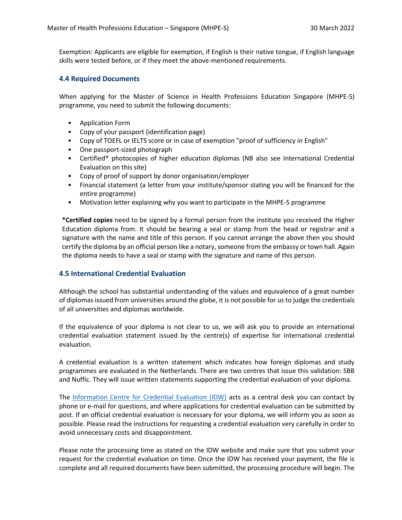Exemption: Applicants are eligible for exemption, if English is their native tongue, if English language skills were tested before, or if they meet the above-mentioned requirements.

#### **4.4 Required Documents**

When applying for the Master of Science in Health Professions Education Singapore (MHPE-S) programme, you need to submit the following documents:

- Application Form
- Copy of your passport (identification page)
- Copy of TOEFL or IELTS score or in case of exemption "proof of sufficiency in English"
- One passport-sized photograph
- Certified\* photocopies of higher education diplomas (NB also see International Credential Evaluation on this site)
- Copy of proof of support by donor organisation/employer
- Financial statement (a letter from your institute/sponsor stating you will be financed for the entire programme)
- Motivation letter explaining why you want to participate in the MHPE-S programme

**\*Certified copies** need to be signed by a formal person from the institute you received the Higher Education diploma from. It should be bearing a seal or stamp from the head or registrar and a signature with the name and title of this person. If you cannot arrange the above then you should certify the diploma by an official person like a notary, someone from the embassy or town hall. Again the diploma needs to have a seal or stamp with the signature and name of this person.

#### **4.5 International Credential Evaluation**

Although the school has substantial understanding of the values and equivalence of a great number of diplomas issued from universities around the globe, it is not possible for us to judge the credentials of all universities and diplomas worldwide.

If the equivalence of your diploma is not clear to us, we will ask you to provide an international credential evaluation statement issued by the centre(s) of expertise for international credential evaluation.

A credential evaluation is a written statement which indicates how foreign diplomas and study programmes are evaluated in the Netherlands. There are two centres that issue this validation: SBB and Nuffic. They will issue written statements supporting the credential evaluation of your diploma.

The [Information Centre for Credential Evaluation \(IDW\)](https://www.idw.nl/en/credential-evaluation.html) acts as a central desk you can contact by phone or e-mail for questions, and where applications for credential evaluation can be submitted by post. If an official credential evaluation is necessary for your diploma, we will inform you as soon as possible. Please read the instructions for requesting a credential evaluation very carefully in order to avoid unnecessary costs and disappointment.

Please note the processing time as stated on the IDW website and make sure that you submit your request for the credential evaluation on time. Once the IDW has received your payment, the file is complete and all required documents have been submitted, the processing procedure will begin. The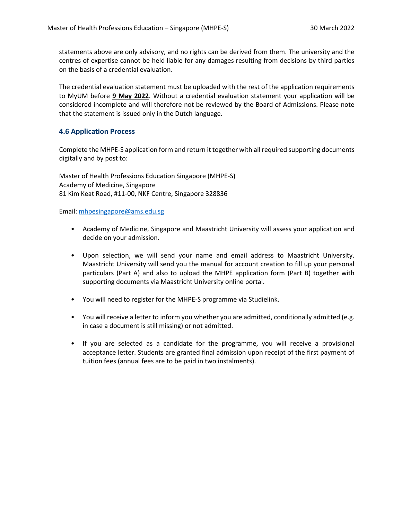statements above are only advisory, and no rights can be derived from them. The university and the centres of expertise cannot be held liable for any damages resulting from decisions by third parties on the basis of a credential evaluation.

The credential evaluation statement must be uploaded with the rest of the application requirements to MyUM before **9 May 2022**. Without a credential evaluation statement your application will be considered incomplete and will therefore not be reviewed by the Board of Admissions. Please note that the statement is issued only in the Dutch language.

#### **4.6 Application Process**

Complete the MHPE-S application form and return it together with all required supporting documents digitally and by post to:

Master of Health Professions Education Singapore (MHPE-S) Academy of Medicine, Singapore 81 Kim Keat Road, #11-00, NKF Centre, Singapore 328836

Email: [mhpesingapore@ams.edu.sg](mailto:mhpesingapore@ams.edu.sg)

- Academy of Medicine, Singapore and Maastricht University will assess your application and decide on your admission.
- Upon selection, we will send your name and email address to Maastricht University. Maastricht University will send you the manual for account creation to fill up your personal particulars (Part A) and also to upload the MHPE application form (Part B) together with supporting documents via Maastricht University online portal.
- You will need to register for the MHPE-S programme via Studielink.
- You will receive a letter to inform you whether you are admitted, conditionally admitted (e.g. in case a document is still missing) or not admitted.
- If you are selected as a candidate for the programme, you will receive a provisional acceptance letter. Students are granted final admission upon receipt of the first payment of tuition fees (annual fees are to be paid in two instalments).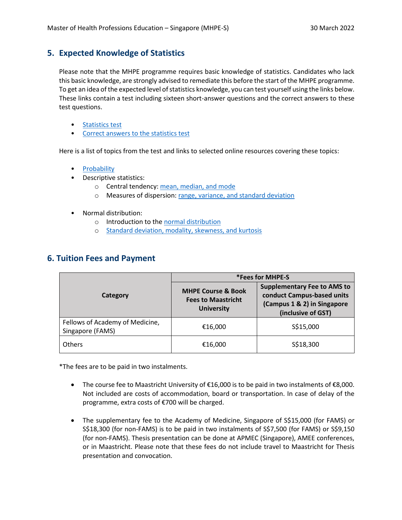## **5. Expected Knowledge of Statistics**

Please note that the MHPE programme requires basic knowledge of statistics. Candidates who lack this basic knowledge, are strongly advised to remediate this before the start of the MHPE programme. To get an idea of the expected level of statistics knowledge, you can test yourself using the links below. These links contain a test including sixteen short-answer questions and the correct answers to these test questions.

- [Statistics test](https://she.mumc.maastrichtuniversity.nl/sites/intranet.mumc.maastrichtuniversity.nl/files/she_mumc_maastrichtuniversity_nl/statistics_test.pdf)
- [Correct answers to the statistics test](https://she.mumc.maastrichtuniversity.nl/sites/intranet.mumc.maastrichtuniversity.nl/files/she_mumc_maastrichtuniversity_nl/correct_answers_to_statistics_test.pdf)

Here is a list of topics from the test and links to selected online resources covering these topics:

- **[Probability](https://www.khanacademy.org/math/statistics-probability/probability-library)**
- Descriptive statistics:
	- o Central tendency: [mean, median, and mode](https://www.youtube.com/watch?v=h8EYEJ32oQ8)
	- o Measures of dispersion[: range, variance, and standard deviation](https://www.youtube.com/watch?v=E4HAYd0QnRc)
- Normal distribution:
	- o Introduction to the [normal distribution](https://www.youtube.com/watch?v=iYiOVISWXS4)
	- o [Standard deviation, modality, skewness, and kurtosis](https://www.youtube.com/watch?v=HnMGKsupF8Q&list=PLs4oKIDq23Ac8cOayzxVDVGRl0q7QTjox&index=5)

## **6. Tuition Fees and Payment**

|                                                     | *Fees for MHPE-S                                                                |                                                                                                                       |  |
|-----------------------------------------------------|---------------------------------------------------------------------------------|-----------------------------------------------------------------------------------------------------------------------|--|
| Category                                            | <b>MHPE Course &amp; Book</b><br><b>Fees to Maastricht</b><br><b>University</b> | <b>Supplementary Fee to AMS to</b><br>conduct Campus-based units<br>(Campus 1 & 2) in Singapore<br>(inclusive of GST) |  |
| Fellows of Academy of Medicine,<br>Singapore (FAMS) | €16,000                                                                         | S\$15,000                                                                                                             |  |
| <b>Others</b>                                       | €16,000                                                                         | S\$18,300                                                                                                             |  |

\*The fees are to be paid in two instalments.

- The course fee to Maastricht University of  $\epsilon$ 16,000 is to be paid in two instalments of  $\epsilon$ 8,000. Not included are costs of accommodation, board or transportation. In case of delay of the programme, extra costs of €700 will be charged.
- The supplementary fee to the Academy of Medicine, Singapore of S\$15,000 (for FAMS) or S\$18,300 (for non-FAMS) is to be paid in two instalments of S\$7,500 (for FAMS) or S\$9,150 (for non-FAMS). Thesis presentation can be done at APMEC (Singapore), AMEE conferences, or in Maastricht. Please note that these fees do not include travel to Maastricht for Thesis presentation and convocation.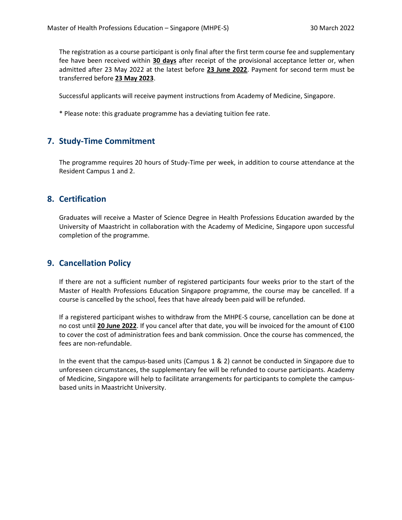The registration as a course participant is only final after the first term course fee and supplementary fee have been received within **30 days** after receipt of the provisional acceptance letter or, when admitted after 23 May 2022 at the latest before **23 June 2022**. Payment for second term must be transferred before **23 May 2023**.

Successful applicants will receive payment instructions from Academy of Medicine, Singapore.

\* Please note: this graduate programme has a deviating tuition fee rate.

## **7. Study-Time Commitment**

The programme requires 20 hours of Study-Time per week, in addition to course attendance at the Resident Campus 1 and 2.

## **8. Certification**

Graduates will receive a Master of Science Degree in Health Professions Education awarded by the University of Maastricht in collaboration with the Academy of Medicine, Singapore upon successful completion of the programme.

## **9. Cancellation Policy**

If there are not a sufficient number of registered participants four weeks prior to the start of the Master of Health Professions Education Singapore programme, the course may be cancelled. If a course is cancelled by the school, fees that have already been paid will be refunded.

If a registered participant wishes to withdraw from the MHPE-S course, cancellation can be done at no cost until **20 June 2022**. If you cancel after that date, you will be invoiced for the amount of €100 to cover the cost of administration fees and bank commission. Once the course has commenced, the fees are non-refundable.

In the event that the campus-based units (Campus 1 & 2) cannot be conducted in Singapore due to unforeseen circumstances, the supplementary fee will be refunded to course participants. Academy of Medicine, Singapore will help to facilitate arrangements for participants to complete the campusbased units in Maastricht University.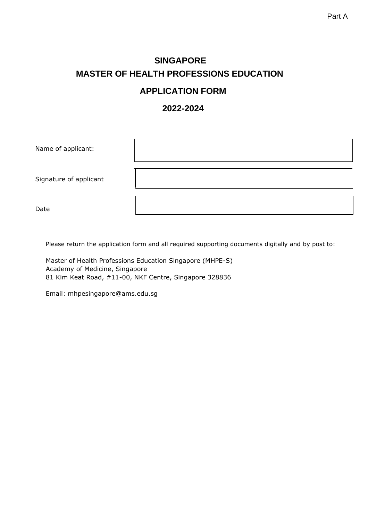## **SINGAPORE MASTER OF HEALTH PROFESSIONS EDUCATION APPLICATION FORM**

## **2022-2024**

| Name of applicant:     |  |
|------------------------|--|
| Signature of applicant |  |
| Date                   |  |

Please return the application form and all required supporting documents digitally and by post to:

Master of Health Professions Education Singapore (MHPE-S) Academy of Medicine, Singapore 81 Kim Keat Road, #11-00, NKF Centre, Singapore 328836

Email: mhpesingapore@ams.edu.sg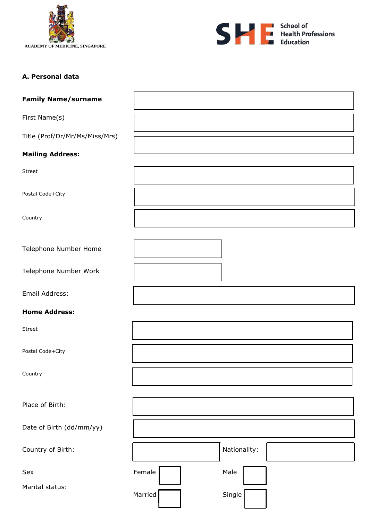



## **A. Personal data**

| <b>Family Name/surname</b>     |                   |
|--------------------------------|-------------------|
| First Name(s)                  |                   |
| Title (Prof/Dr/Mr/Ms/Miss/Mrs) |                   |
| <b>Mailing Address:</b>        |                   |
| Street                         |                   |
| Postal Code+City               |                   |
| Country                        |                   |
| Telephone Number Home          |                   |
| Telephone Number Work          |                   |
| Email Address:                 |                   |
| <b>Home Address:</b>           |                   |
| Street                         |                   |
| Postal Code+City               |                   |
| Country                        |                   |
| Place of Birth:                |                   |
| Date of Birth (dd/mm/yy)       |                   |
| Country of Birth:              | Nationality:      |
| Sex                            | Female<br>Male    |
| Marital status:                | Single<br>Married |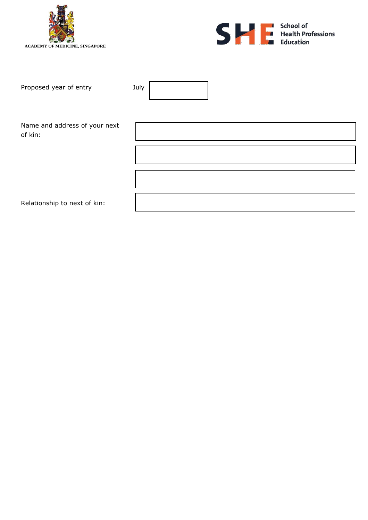



| Proposed year of entry        | July |
|-------------------------------|------|
|                               |      |
|                               |      |
|                               |      |
| Name and address of your next |      |
|                               |      |
| of kin:                       |      |
|                               |      |
|                               |      |
|                               |      |
|                               |      |
|                               |      |
|                               |      |
|                               |      |
| Relationship to next of kin:  |      |

4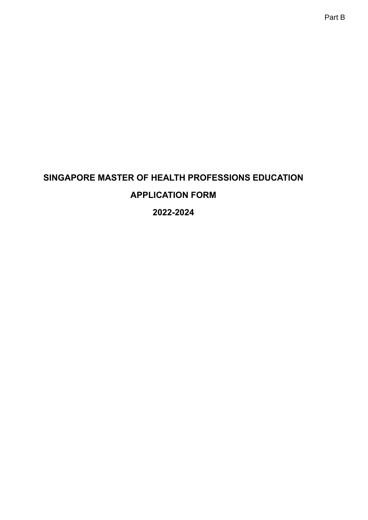## **SINGAPORE MASTER OF HEALTH PROFESSIONS EDUCATION APPLICATION FORM 2022-2024**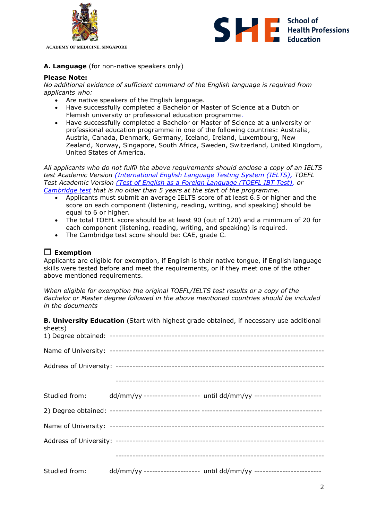



**A. Language** (for non-native speakers only)

#### **Please Note:**

*No additional evidence of sufficient command of the English language is required from applicants who:*

- Are native speakers of the English language.
- Have successfully completed a Bachelor or Master of Science at a Dutch or Flemish university or professional education programme.
- Have successfully completed a Bachelor or Master of Science at a university or professional education programme in one of the following countries: Australia, Austria, Canada, Denmark, Germany, Iceland, Ireland, Luxembourg, New Zealand, Norway, Singapore, South Africa, Sweden, Switzerland, United Kingdom, United States of America.

*All applicants who do not fulfil the above requirements should enclose a copy of an IELTS test Academic Version [\(International English Language Testing System \(IELTS\),](http://www.ielts.org/default.aspx) TOEFL Test Academic Version [\(Test of English as a Foreign Language \(TOEFL IBT Test\),](http://www.ets.org/toefl) or [Cambridge test](http://www.cambridgeenglish.org/) that is no older than 5 years at the start of the programme.*

- Applicants must submit an average IELTS score of at least 6.5 or higher and the score on each component (listening, reading, writing, and speaking) should be equal to 6 or higher.
- The total TOEFL score should be at least 90 (out of 120) and a minimum of 20 for each component (listening, reading, writing, and speaking) is required.
- The Cambridge test score should be: CAE, grade C.

## **Exemption**

Applicants are eligible for exemption, if English is their native tongue, if English language skills were tested before and meet the requirements, or if they meet one of the other above mentioned requirements.

*When eligible for exemption the original TOEFL/IELTS test results or a copy of the Bachelor or Master degree followed in the above mentioned countries should be included in the documents*

| sheets) | <b>B. University Education</b> (Start with highest grade obtained, if necessary use additional |
|---------|------------------------------------------------------------------------------------------------|
|         |                                                                                                |
|         |                                                                                                |
|         |                                                                                                |
|         |                                                                                                |
|         | Studied from: dd/mm/yy ------------------- until dd/mm/yy ----------------------               |
|         |                                                                                                |
|         |                                                                                                |
|         |                                                                                                |
|         |                                                                                                |
|         | Studied from: dd/mm/yy ------------------- until dd/mm/yy ----------------------               |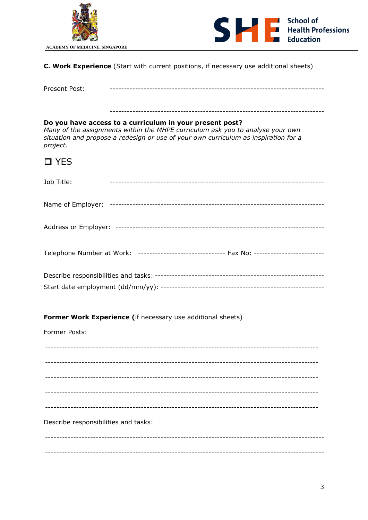



C. Work Experience (Start with current positions, if necessary use additional sheets)

| -<br>Prese<br>UJL. |  |
|--------------------|--|
|--------------------|--|

## Do you have access to a curriculum in your present post?

Many of the assignments within the MHPE curriculum ask you to analyse your own situation and propose a redesign or use of your own curriculum as inspiration for a project.

|  | ۰, |
|--|----|
|--|----|

| Job Title: |                                                                                            |  |
|------------|--------------------------------------------------------------------------------------------|--|
|            |                                                                                            |  |
|            |                                                                                            |  |
|            | Telephone Number at Work: ------------------------------- Fax No: ------------------------ |  |
|            |                                                                                            |  |

#### Former Work Experience (if necessary use additional sheets)

Former Posts:

Describe responsibilities and tasks: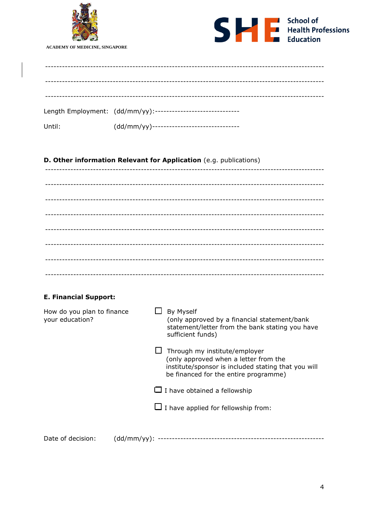



**ACADEMY OF MEDICINE, SINGAPORE** 

|        | Length Employment: (dd/mm/yy):------------------------------ |
|--------|--------------------------------------------------------------|
| Until: | (dd/mm/yy)--------------------------------                   |

## D. Other information Relevant for Application (e.g. publications)

## **E. Financial Support:**

| How do you plan to finance<br>your education? |             | By Myself<br>(only approved by a financial statement/bank<br>statement/letter from the bank stating you have<br>sufficient funds)                                      |
|-----------------------------------------------|-------------|------------------------------------------------------------------------------------------------------------------------------------------------------------------------|
|                                               |             | Through my institute/employer<br>(only approved when a letter from the<br>institute/sponsor is included stating that you will<br>be financed for the entire programme) |
|                                               |             | $\Box$ I have obtained a fellowship                                                                                                                                    |
|                                               |             | $\Box$ I have applied for fellowship from:                                                                                                                             |
|                                               |             |                                                                                                                                                                        |
| Date of decision:                             | (dd/mm/yy): |                                                                                                                                                                        |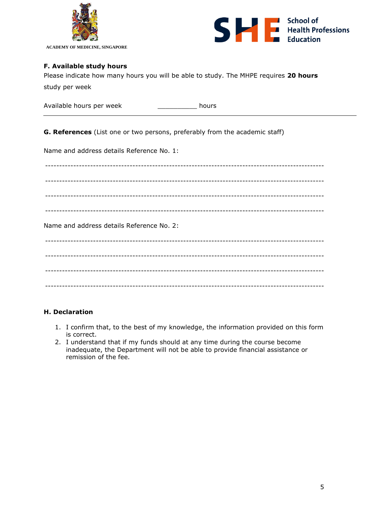

**ACADEMY OF MEDICINE, SINGAPORE**



#### **F. Available study hours**

Please indicate how many hours you will be able to study. The MHPE requires **20 hours** study per week

| Available hours per week | hours |
|--------------------------|-------|
|--------------------------|-------|

**G. References** (List one or two persons, preferably from the academic staff)

Name and address details Reference No. 1:

--------------------------------------------------------------------------------------------------- --------------------------------------------------------------------------------------------------- --------------------------------------------------------------------------------------------------- --------------------------------------------------------------------------------------------------- Name and address details Reference No. 2: --------------------------------------------------------------------------------------------------- --------------------------------------------------------------------------------------------------- --------------------------------------------------------------------------------------------------- ---------------------------------------------------------------------------------------------------

#### **H. Declaration**

- 1. I confirm that, to the best of my knowledge, the information provided on this form is correct.
- 2. I understand that if my funds should at any time during the course become inadequate, the Department will not be able to provide financial assistance or remission of the fee.